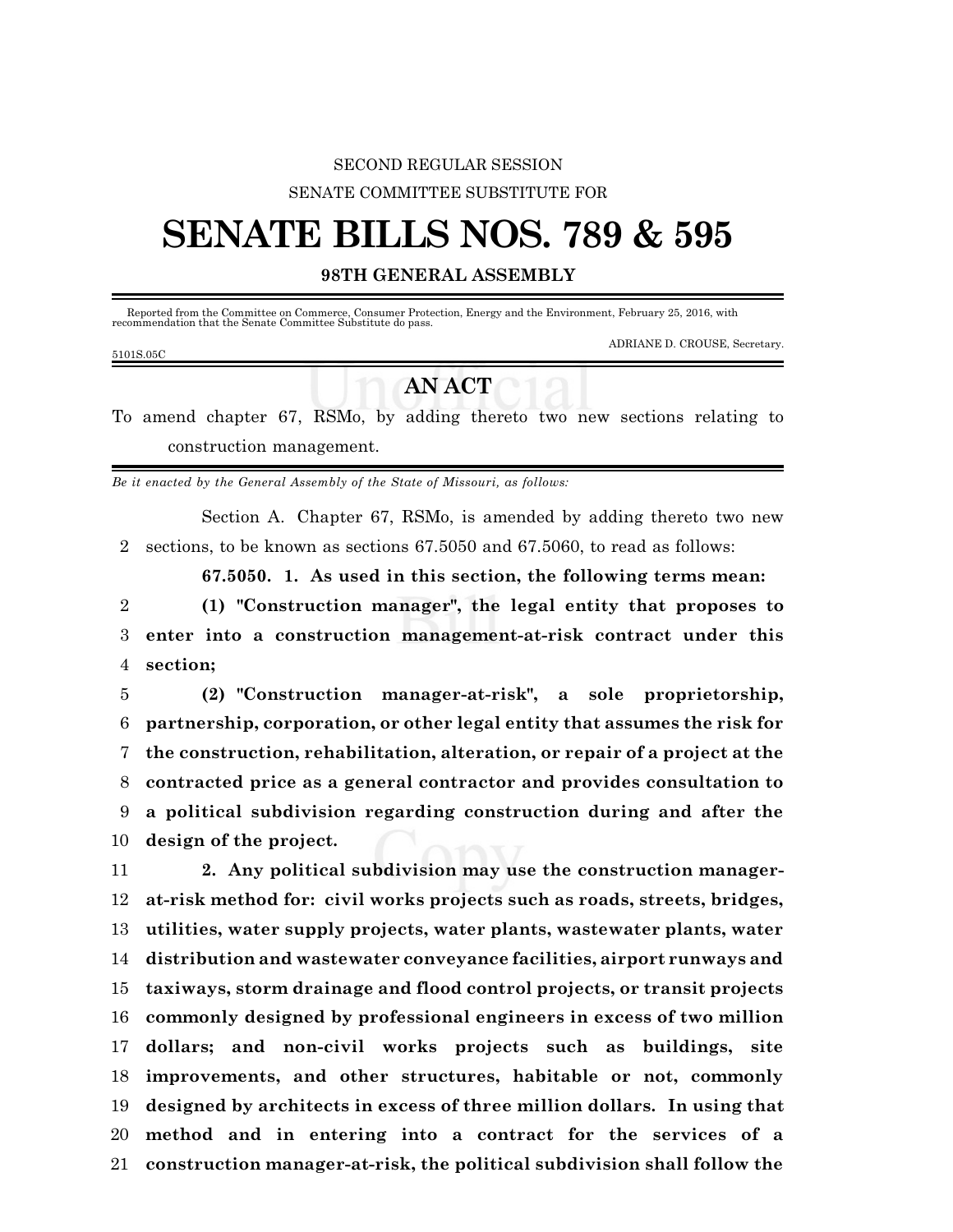## SECOND REGULAR SESSION SENATE COMMITTEE SUBSTITUTE FOR

## **SENATE BILLS NOS. 789 & 595**

## **98TH GENERAL ASSEMBLY**

 Reported from the Committee on Commerce, Consumer Protection, Energy and the Environment, February 25, 2016, with recommendation that the Senate Committee Substitute do pass.

| 5101S.05C |  |  |  |
|-----------|--|--|--|

## **AN ACT**

To amend chapter 67, RSMo, by adding thereto two new sections relating to construction management.

*Be it enacted by the General Assembly of the State of Missouri, as follows:*

Section A. Chapter 67, RSMo, is amended by adding thereto two new 2 sections, to be known as sections 67.5050 and 67.5060, to read as follows:

**67.5050. 1. As used in this section, the following terms mean:**

ADRIANE D. CROUSE, Secretary.

2 **(1) "Construction manager", the legal entity that proposes to** 3 **enter into a construction management-at-risk contract under this** 4 **section;**

 **(2) "Construction manager-at-risk", a sole proprietorship, partnership, corporation, or other legal entity that assumes the risk for the construction, rehabilitation, alteration, or repair of a project at the contracted price as a general contractor and provides consultation to a political subdivision regarding construction during and after the design of the project.**

 **2. Any political subdivision may use the construction manager- at-risk method for: civil works projects such as roads, streets, bridges, utilities, water supply projects, water plants, wastewater plants, water distribution and wastewater conveyance facilities, airport runways and taxiways, storm drainage and flood control projects, or transit projects commonly designed by professional engineers in excess of two million dollars; and non-civil works projects such as buildings, site improvements, and other structures, habitable or not, commonly designed by architects in excess of three million dollars. In using that method and in entering into a contract for the services of a construction manager-at-risk, the political subdivision shall follow the**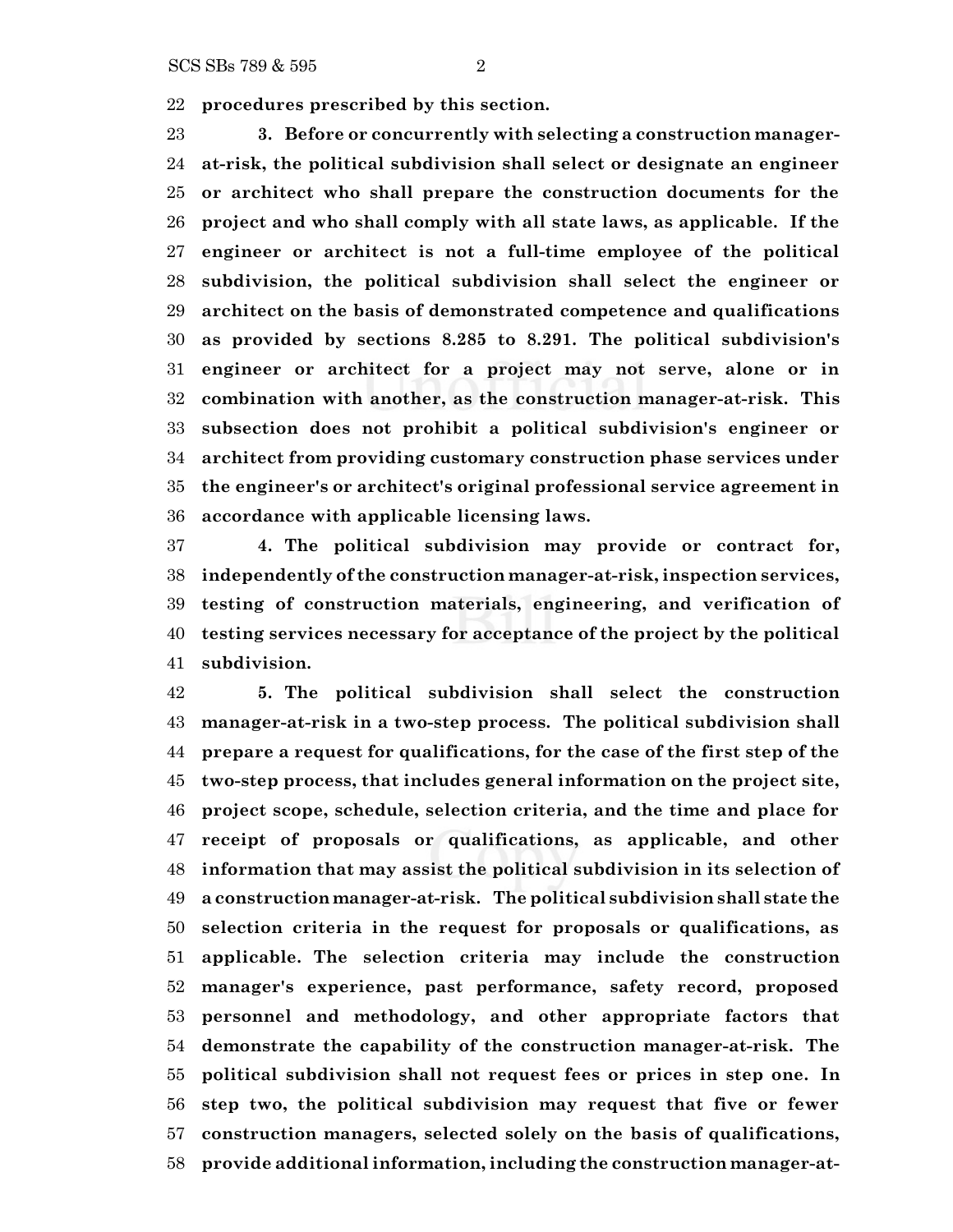**procedures prescribed by this section.**

 **3. Before or concurrently with selecting a construction manager- at-risk, the political subdivision shall select or designate an engineer or architect who shall prepare the construction documents for the project and who shall comply with all state laws, as applicable. If the engineer or architect is not a full-time employee of the political subdivision, the political subdivision shall select the engineer or architect on the basis of demonstrated competence and qualifications as provided by sections 8.285 to 8.291. The political subdivision's engineer or architect for a project may not serve, alone or in combination with another, as the construction manager-at-risk. This subsection does not prohibit a political subdivision's engineer or architect from providing customary construction phase services under the engineer's or architect's original professional service agreement in accordance with applicable licensing laws.**

 **4. The political subdivision may provide or contract for, independently of the construction manager-at-risk, inspection services, testing of construction materials, engineering, and verification of testing services necessary for acceptance of the project by the political subdivision.**

 **5. The political subdivision shall select the construction manager-at-risk in a two-step process. The political subdivision shall prepare a request for qualifications, for the case of the first step of the two-step process, that includes general information on the project site, project scope, schedule, selection criteria, and the time and place for receipt of proposals or qualifications, as applicable, and other information that may assist the political subdivision in its selection of a constructionmanager-at-risk. The political subdivision shall state the selection criteria in the request for proposals or qualifications, as applicable. The selection criteria may include the construction manager's experience, past performance, safety record, proposed personnel and methodology, and other appropriate factors that demonstrate the capability of the construction manager-at-risk. The political subdivision shall not request fees or prices in step one. In step two, the political subdivision may request that five or fewer construction managers, selected solely on the basis of qualifications, provide additional information, including the construction manager-at-**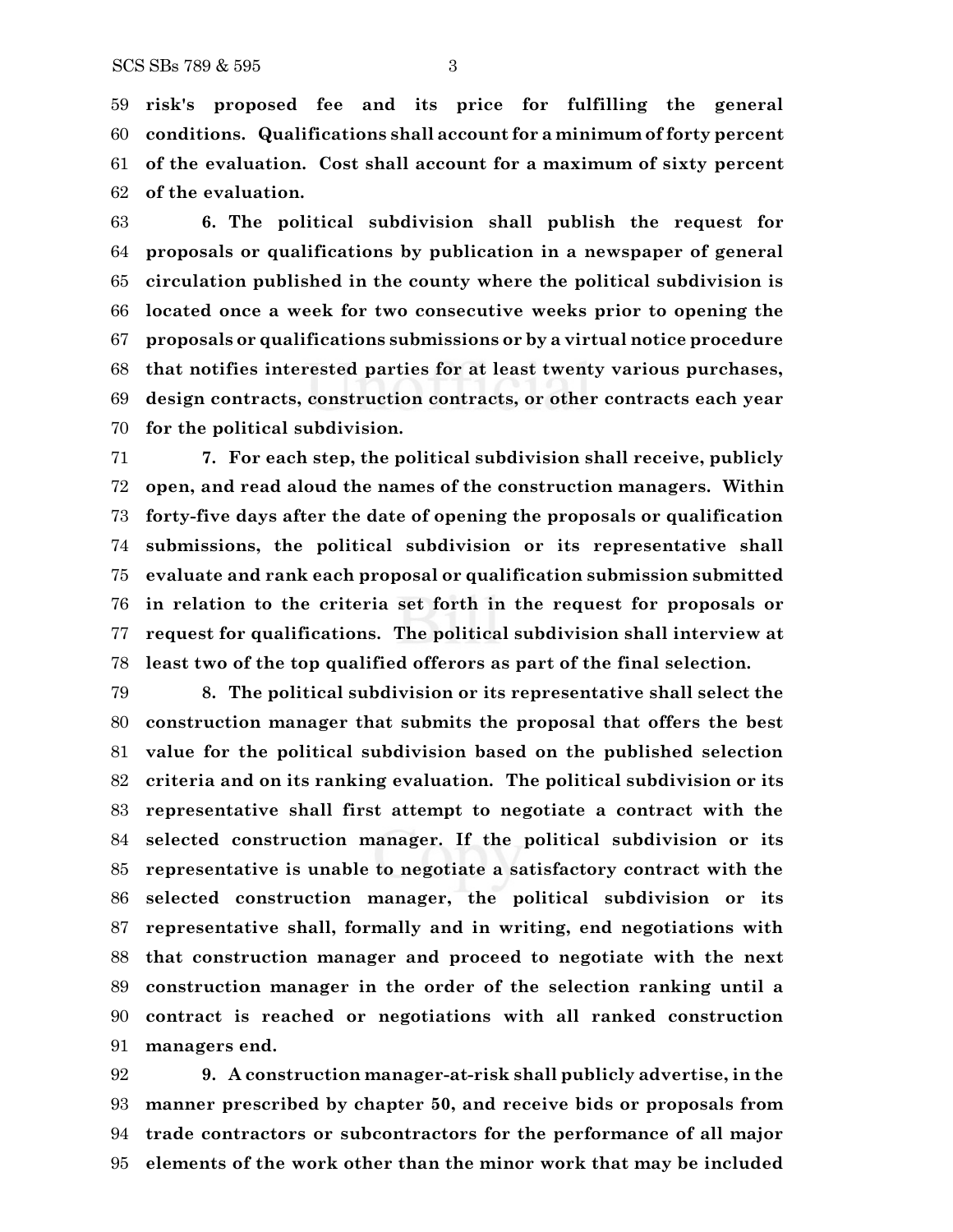**risk's proposed fee and its price for fulfilling the general conditions. Qualifications shall account for a minimum of forty percent of the evaluation. Cost shall account for a maximum of sixty percent of the evaluation.**

 **6. The political subdivision shall publish the request for proposals or qualifications by publication in a newspaper of general circulation published in the county where the political subdivision is located once a week for two consecutive weeks prior to opening the proposals or qualifications submissions or by a virtual notice procedure that notifies interested parties for at least twenty various purchases, design contracts, construction contracts, or other contracts each year for the political subdivision.**

 **7. For each step, the political subdivision shall receive, publicly open, and read aloud the names of the construction managers. Within forty-five days after the date of opening the proposals or qualification submissions, the political subdivision or its representative shall evaluate and rank each proposal or qualification submission submitted in relation to the criteria set forth in the request for proposals or request for qualifications. The political subdivision shall interview at least two of the top qualified offerors as part of the final selection.**

 **8. The political subdivision or its representative shall select the construction manager that submits the proposal that offers the best value for the political subdivision based on the published selection criteria and on its ranking evaluation. The political subdivision or its representative shall first attempt to negotiate a contract with the selected construction manager. If the political subdivision or its representative is unable to negotiate a satisfactory contract with the selected construction manager, the political subdivision or its representative shall, formally and in writing, end negotiations with that construction manager and proceed to negotiate with the next construction manager in the order of the selection ranking until a contract is reached or negotiations with all ranked construction managers end.**

 **9. A construction manager-at-risk shall publicly advertise, in the manner prescribed by chapter 50, and receive bids or proposals from trade contractors or subcontractors for the performance of all major elements of the work other than the minor work that may be included**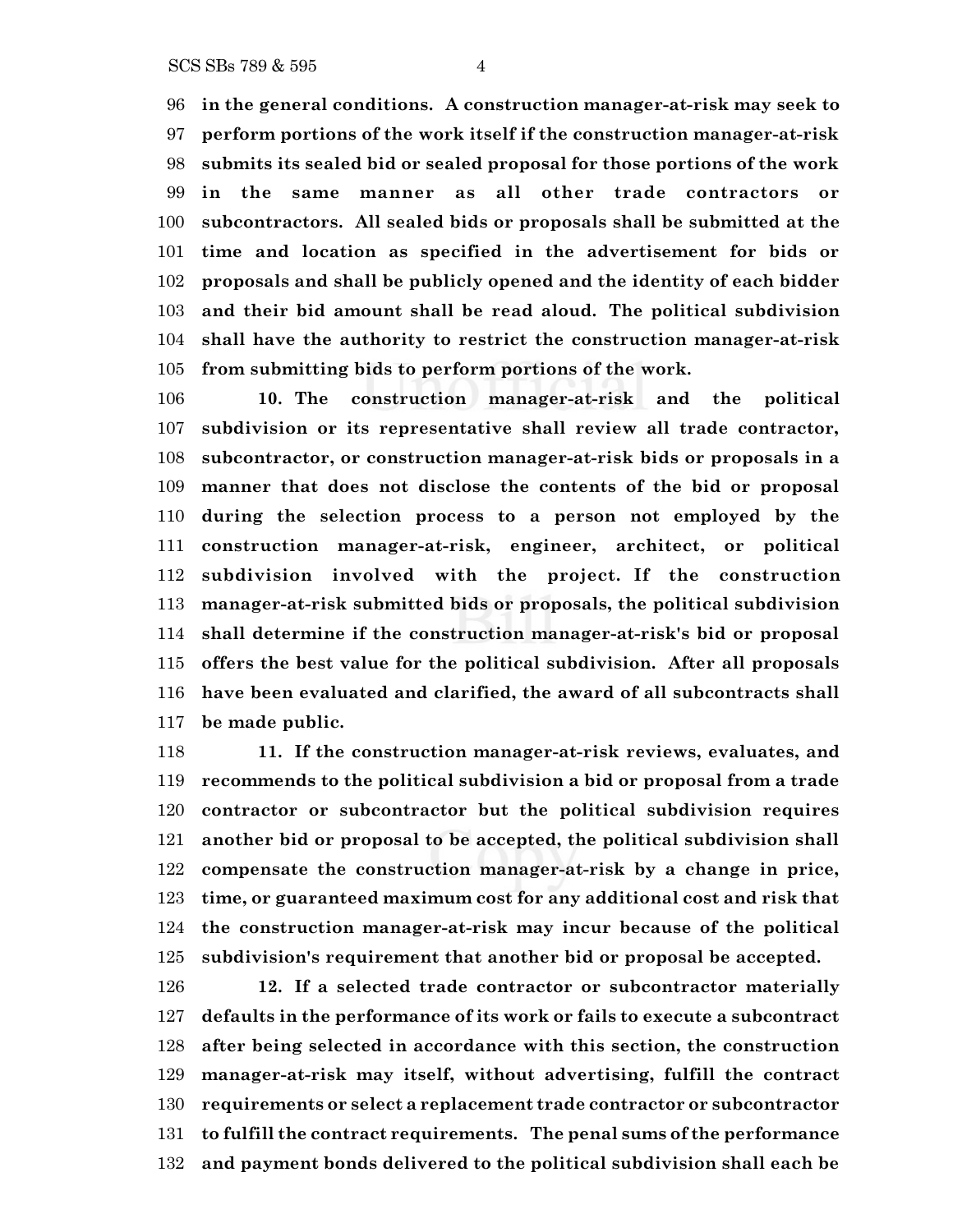**in the general conditions. A construction manager-at-risk may seek to perform portions of the work itself if the construction manager-at-risk submits its sealed bid or sealed proposal for those portions of the work in the same manner as all other trade contractors or subcontractors. All sealed bids or proposals shall be submitted at the time and location as specified in the advertisement for bids or proposals and shall be publicly opened and the identity of each bidder and their bid amount shall be read aloud. The political subdivision shall have the authority to restrict the construction manager-at-risk from submitting bids to perform portions of the work.**

 **10. The construction manager-at-risk and the political subdivision or its representative shall review all trade contractor, subcontractor, or construction manager-at-risk bids or proposals in a manner that does not disclose the contents of the bid or proposal during the selection process to a person not employed by the construction manager-at-risk, engineer, architect, or political subdivision involved with the project. If the construction manager-at-risk submitted bids or proposals, the political subdivision shall determine if the construction manager-at-risk's bid or proposal offers the best value for the political subdivision. After all proposals have been evaluated and clarified, the award of all subcontracts shall be made public.**

 **11. If the construction manager-at-risk reviews, evaluates, and recommends to the political subdivision a bid or proposal from a trade contractor or subcontractor but the political subdivision requires another bid or proposal to be accepted, the political subdivision shall compensate the construction manager-at-risk by a change in price, time, or guaranteed maximum cost for any additional cost and risk that the construction manager-at-risk may incur because of the political subdivision's requirement that another bid or proposal be accepted.**

 **12. If a selected trade contractor or subcontractor materially defaults in the performance of its work or fails to execute a subcontract after being selected in accordance with this section, the construction manager-at-risk may itself, without advertising, fulfill the contract requirements or select a replacement trade contractor or subcontractor to fulfill the contract requirements. The penal sums of the performance and payment bonds delivered to the political subdivision shall each be**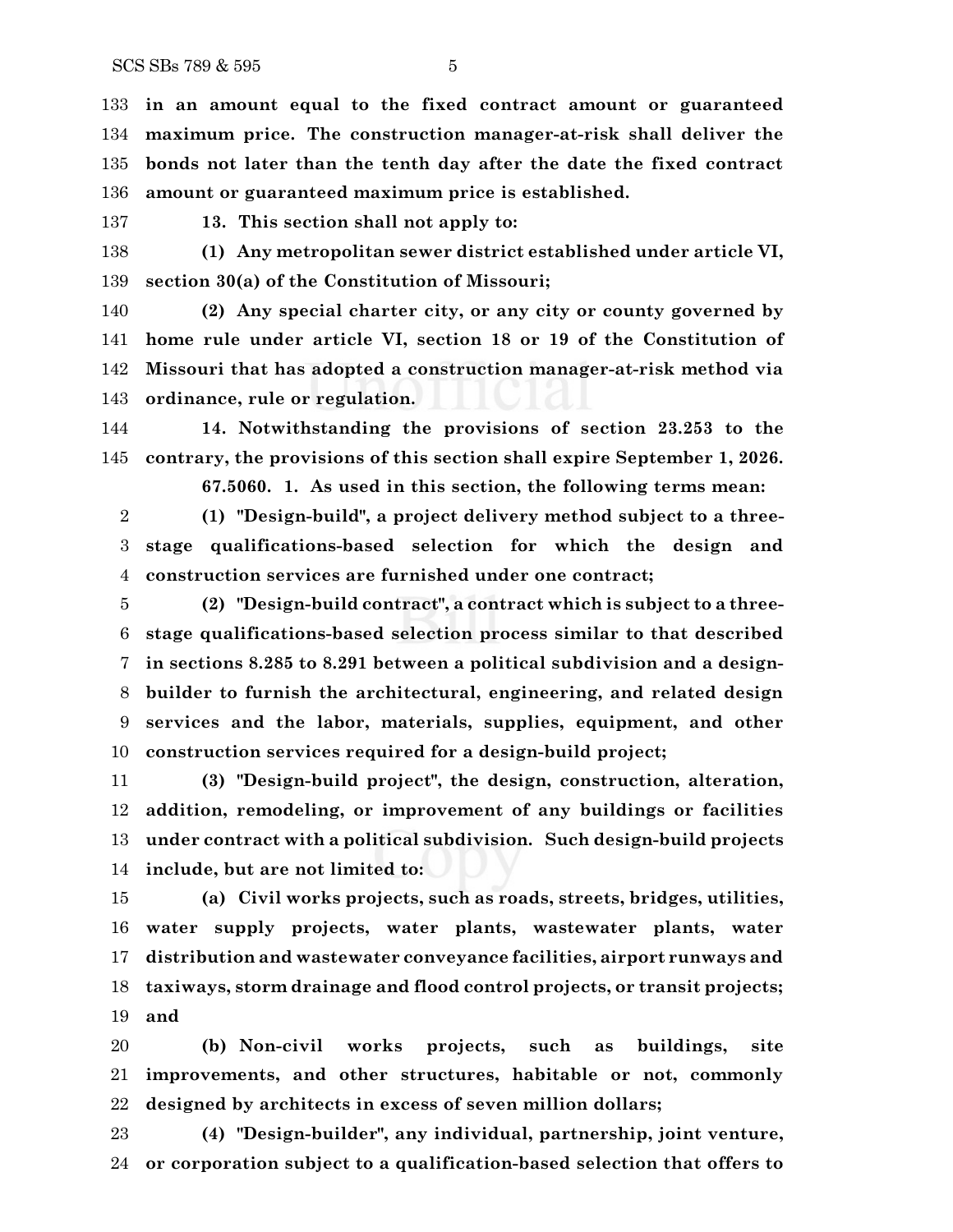**in an amount equal to the fixed contract amount or guaranteed maximum price. The construction manager-at-risk shall deliver the bonds not later than the tenth day after the date the fixed contract amount or guaranteed maximum price is established.**

**13. This section shall not apply to:**

 **(1) Any metropolitan sewer district established under article VI, section 30(a) of the Constitution of Missouri;**

 **(2) Any special charter city, or any city or county governed by home rule under article VI, section 18 or 19 of the Constitution of Missouri that has adopted a construction manager-at-risk method via ordinance, rule or regulation.**

 **14. Notwithstanding the provisions of section 23.253 to the contrary, the provisions of this section shall expire September 1, 2026.**

**67.5060. 1. As used in this section, the following terms mean:**

 **(1) "Design-build", a project delivery method subject to a three- stage qualifications-based selection for which the design and construction services are furnished under one contract;**

 **(2) "Design-build contract", a contract which is subject to a three- stage qualifications-based selection process similar to that described in sections 8.285 to 8.291 between a political subdivision and a design- builder to furnish the architectural, engineering, and related design services and the labor, materials, supplies, equipment, and other construction services required for a design-build project;**

 **(3) "Design-build project", the design, construction, alteration, addition, remodeling, or improvement of any buildings or facilities under contract with a political subdivision. Such design-build projects include, but are not limited to:**

 **(a) Civil works projects, such as roads, streets, bridges, utilities, water supply projects, water plants, wastewater plants, water distribution and wastewater conveyance facilities, airport runways and taxiways, storm drainage and flood control projects, or transit projects; and**

 **(b) Non-civil works projects, such as buildings, site improvements, and other structures, habitable or not, commonly designed by architects in excess of seven million dollars;**

 **(4) "Design-builder", any individual, partnership, joint venture, or corporation subject to a qualification-based selection that offers to**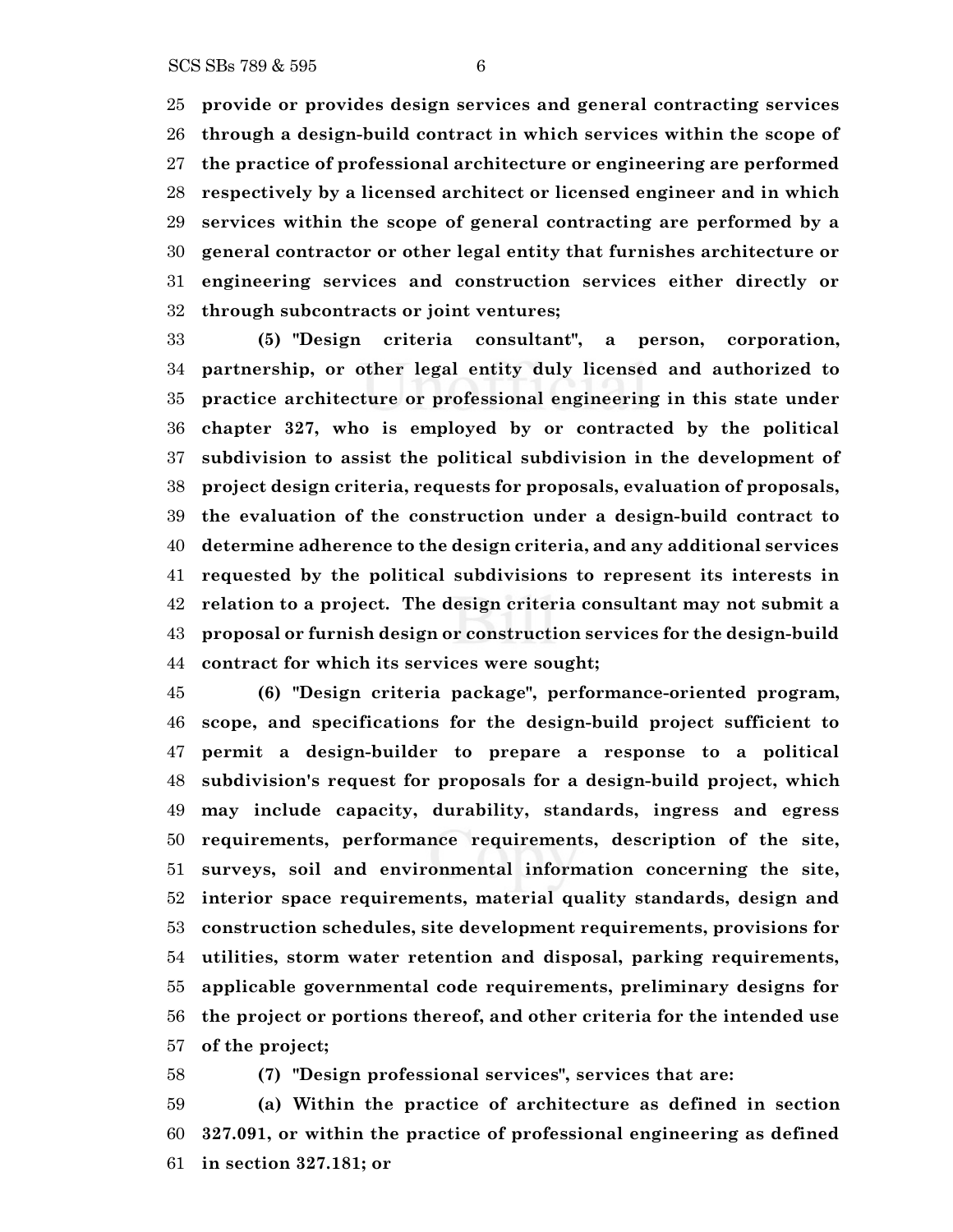**provide or provides design services and general contracting services through a design-build contract in which services within the scope of the practice of professional architecture or engineering are performed respectively by a licensed architect or licensed engineer and in which services within the scope of general contracting are performed by a general contractor or other legal entity that furnishes architecture or engineering services and construction services either directly or through subcontracts or joint ventures;**

 **(5) "Design criteria consultant", a person, corporation, partnership, or other legal entity duly licensed and authorized to practice architecture or professional engineering in this state under chapter 327, who is employed by or contracted by the political subdivision to assist the political subdivision in the development of project design criteria, requests for proposals, evaluation of proposals, the evaluation of the construction under a design-build contract to determine adherence to the design criteria, and any additional services requested by the political subdivisions to represent its interests in relation to a project. The design criteria consultant may not submit a proposal or furnish design or construction services for the design-build contract for which its services were sought;**

 **(6) "Design criteria package", performance-oriented program, scope, and specifications for the design-build project sufficient to permit a design-builder to prepare a response to a political subdivision's request for proposals for a design-build project, which may include capacity, durability, standards, ingress and egress requirements, performance requirements, description of the site, surveys, soil and environmental information concerning the site, interior space requirements, material quality standards, design and construction schedules, site development requirements, provisions for utilities, storm water retention and disposal, parking requirements, applicable governmental code requirements, preliminary designs for the project or portions thereof, and other criteria for the intended use of the project;**

**(7) "Design professional services", services that are:**

 **(a) Within the practice of architecture as defined in section 327.091, or within the practice of professional engineering as defined in section 327.181; or**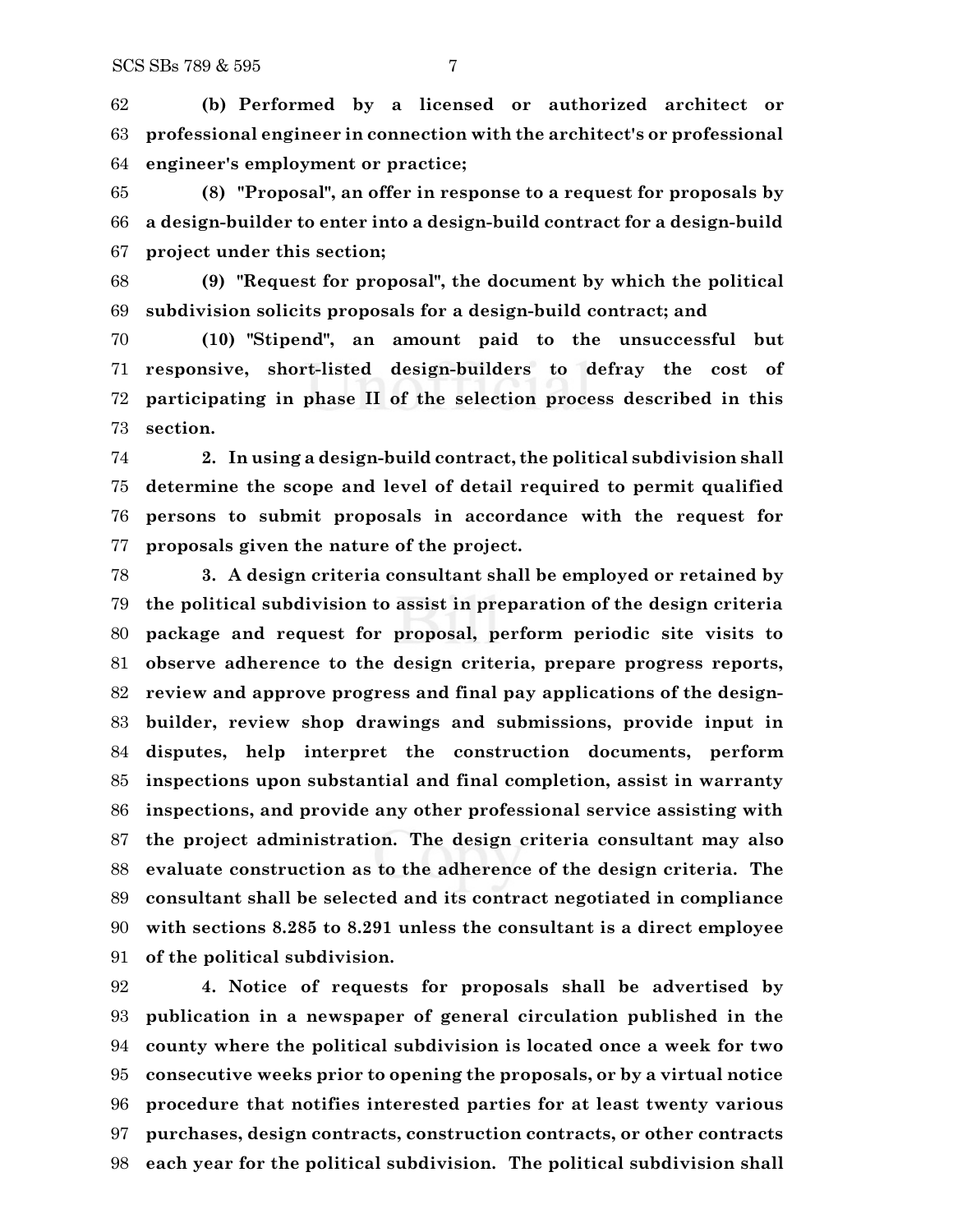**(b) Performed by a licensed or authorized architect or professional engineer in connection with the architect's or professional engineer's employment or practice;**

 **(8) "Proposal", an offer in response to a request for proposals by a design-builder to enter into a design-build contract for a design-build project under this section;**

 **(9) "Request for proposal", the document by which the political subdivision solicits proposals for a design-build contract; and**

 **(10) "Stipend", an amount paid to the unsuccessful but responsive, short-listed design-builders to defray the cost of participating in phase II of the selection process described in this section.**

 **2. In using a design-build contract, the political subdivision shall determine the scope and level of detail required to permit qualified persons to submit proposals in accordance with the request for proposals given the nature of the project.**

 **3. A design criteria consultant shall be employed or retained by the political subdivision to assist in preparation of the design criteria package and request for proposal, perform periodic site visits to observe adherence to the design criteria, prepare progress reports, review and approve progress and final pay applications of the design- builder, review shop drawings and submissions, provide input in disputes, help interpret the construction documents, perform inspections upon substantial and final completion, assist in warranty inspections, and provide any other professional service assisting with the project administration. The design criteria consultant may also evaluate construction as to the adherence of the design criteria. The consultant shall be selected and its contract negotiated in compliance with sections 8.285 to 8.291 unless the consultant is a direct employee of the political subdivision.**

 **4. Notice of requests for proposals shall be advertised by publication in a newspaper of general circulation published in the county where the political subdivision is located once a week for two consecutive weeks prior to opening the proposals, or by a virtual notice procedure that notifies interested parties for at least twenty various purchases, design contracts, construction contracts, or other contracts each year for the political subdivision. The political subdivision shall**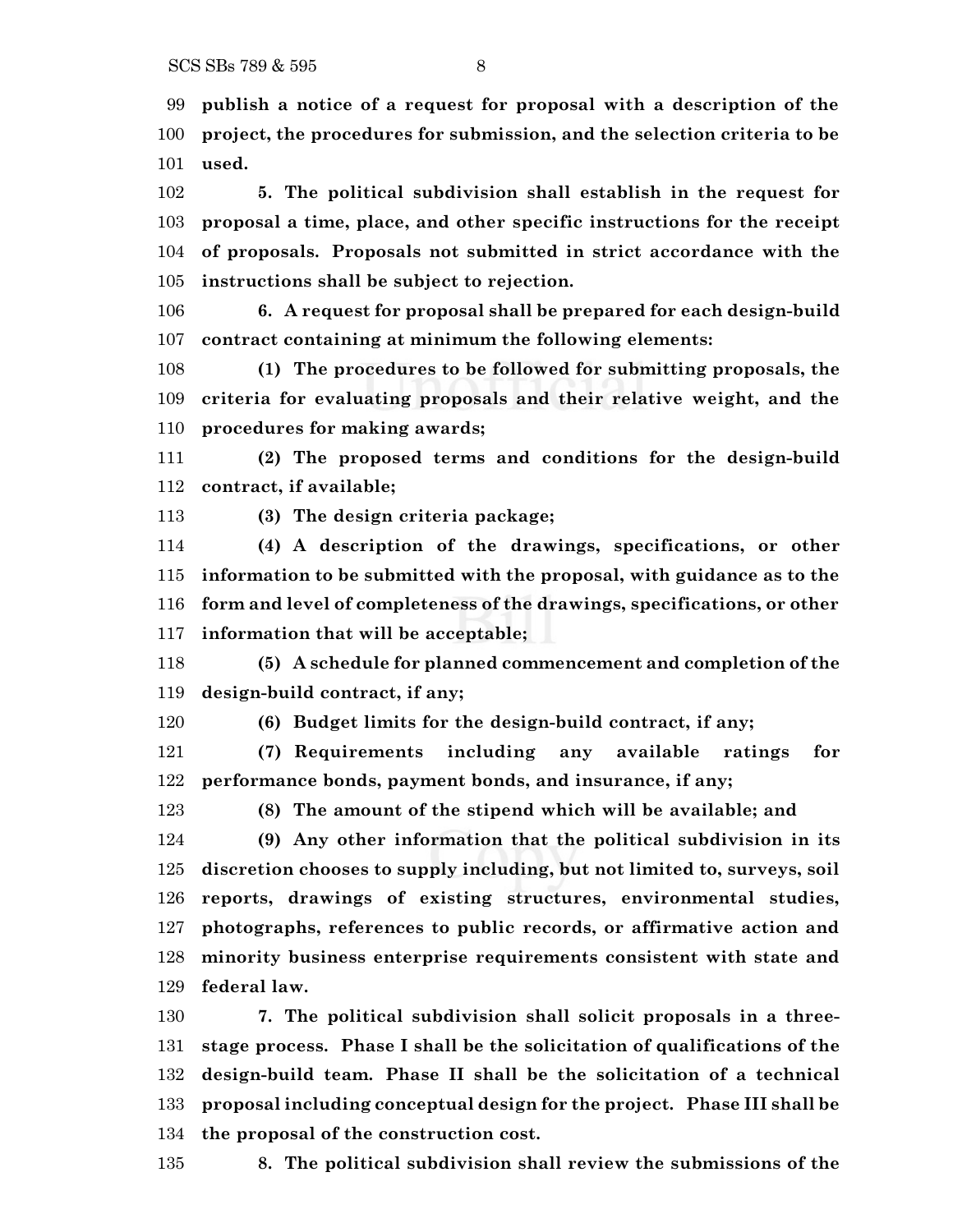**publish a notice of a request for proposal with a description of the project, the procedures for submission, and the selection criteria to be used.**

 **5. The political subdivision shall establish in the request for proposal a time, place, and other specific instructions for the receipt of proposals. Proposals not submitted in strict accordance with the instructions shall be subject to rejection.**

 **6. A request for proposal shall be prepared for each design-build contract containing at minimum the following elements:**

 **(1) The procedures to be followed for submitting proposals, the criteria for evaluating proposals and their relative weight, and the procedures for making awards;**

 **(2) The proposed terms and conditions for the design-build contract, if available;**

**(3) The design criteria package;**

 **(4) A description of the drawings, specifications, or other information to be submitted with the proposal, with guidance as to the form and level of completeness of the drawings, specifications, or other information that will be acceptable;**

 **(5) A schedule for planned commencement and completion of the design-build contract, if any;**

**(6) Budget limits for the design-build contract, if any;**

 **(7) Requirements including any available ratings for performance bonds, payment bonds, and insurance, if any;**

**(8) The amount of the stipend which will be available; and**

 **(9) Any other information that the political subdivision in its discretion chooses to supply including, but not limited to, surveys, soil reports, drawings of existing structures, environmental studies, photographs, references to public records, or affirmative action and minority business enterprise requirements consistent with state and federal law.**

 **7. The political subdivision shall solicit proposals in a three- stage process. Phase I shall be the solicitation of qualifications of the design-build team. Phase II shall be the solicitation of a technical proposal including conceptual design for the project. Phase III shall be the proposal of the construction cost.**

**8. The political subdivision shall review the submissions of the**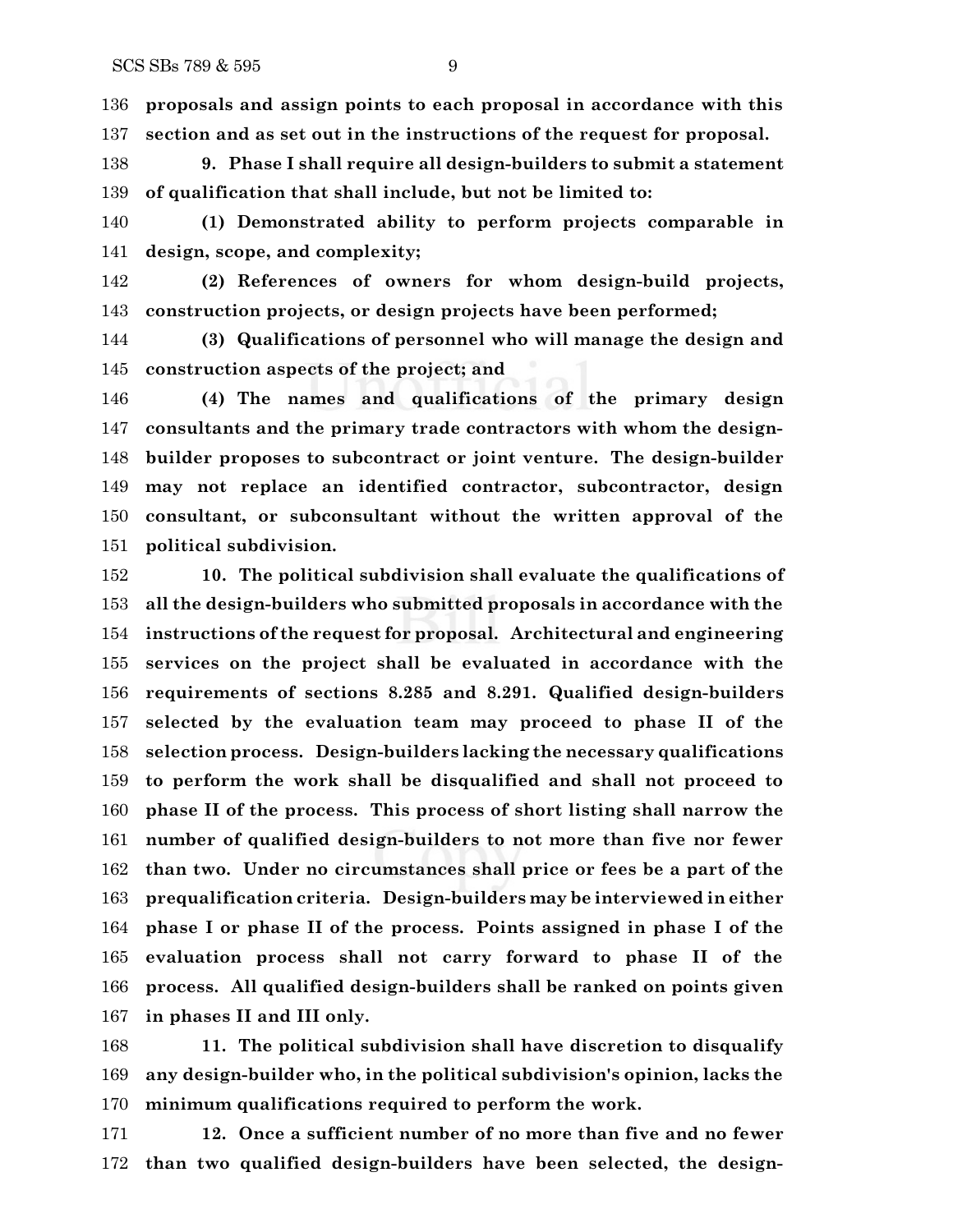**proposals and assign points to each proposal in accordance with this section and as set out in the instructions of the request for proposal.**

 **9. Phase I shall require all design-builders to submit a statement of qualification that shall include, but not be limited to:**

 **(1) Demonstrated ability to perform projects comparable in design, scope, and complexity;**

 **(2) References of owners for whom design-build projects, construction projects, or design projects have been performed;**

 **(3) Qualifications of personnel who will manage the design and construction aspects of the project; and**

 **(4) The names and qualifications of the primary design consultants and the primary trade contractors with whom the design- builder proposes to subcontract or joint venture. The design-builder may not replace an identified contractor, subcontractor, design consultant, or subconsultant without the written approval of the political subdivision.**

 **10. The political subdivision shall evaluate the qualifications of all the design-builders who submitted proposals in accordance with the instructions of the request for proposal. Architectural and engineering services on the project shall be evaluated in accordance with the requirements of sections 8.285 and 8.291. Qualified design-builders selected by the evaluation team may proceed to phase II of the selection process. Design-builders lacking the necessary qualifications to perform the work shall be disqualified and shall not proceed to phase II of the process. This process of short listing shall narrow the number of qualified design-builders to not more than five nor fewer than two. Under no circumstances shall price or fees be a part of the prequalification criteria. Design-builders may be interviewed in either phase I or phase II of the process. Points assigned in phase I of the evaluation process shall not carry forward to phase II of the process. All qualified design-builders shall be ranked on points given in phases II and III only.**

 **11. The political subdivision shall have discretion to disqualify any design-builder who, in the political subdivision's opinion, lacks the minimum qualifications required to perform the work.**

 **12. Once a sufficient number of no more than five and no fewer than two qualified design-builders have been selected, the design-**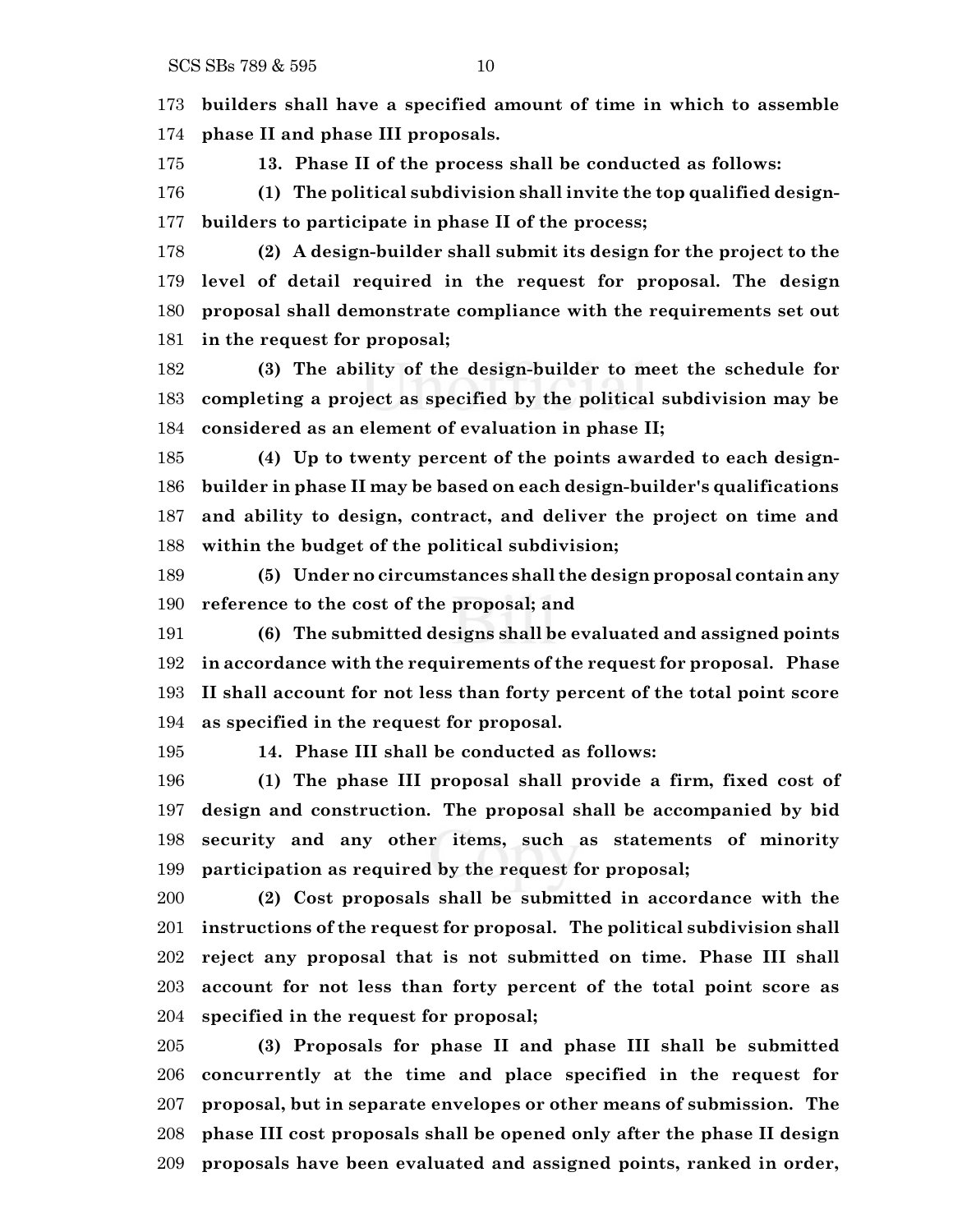**builders shall have a specified amount of time in which to assemble phase II and phase III proposals.**

**13. Phase II of the process shall be conducted as follows:**

 **(1) The political subdivision shall invite the top qualified design-builders to participate in phase II of the process;**

 **(2) A design-builder shall submit its design for the project to the level of detail required in the request for proposal. The design proposal shall demonstrate compliance with the requirements set out in the request for proposal;**

 **(3) The ability of the design-builder to meet the schedule for completing a project as specified by the political subdivision may be considered as an element of evaluation in phase II;**

 **(4) Up to twenty percent of the points awarded to each design- builder in phase II may be based on each design-builder's qualifications and ability to design, contract, and deliver the project on time and within the budget of the political subdivision;**

 **(5) Under no circumstances shall the design proposal contain any reference to the cost of the proposal; and**

 **(6) The submitted designs shall be evaluated and assigned points in accordance with the requirements of the request for proposal. Phase II shall account for not less than forty percent of the total point score as specified in the request for proposal.**

**14. Phase III shall be conducted as follows:**

 **(1) The phase III proposal shall provide a firm, fixed cost of design and construction. The proposal shall be accompanied by bid security and any other items, such as statements of minority participation as required by the request for proposal;**

 **(2) Cost proposals shall be submitted in accordance with the instructions of the request for proposal. The political subdivision shall reject any proposal that is not submitted on time. Phase III shall account for not less than forty percent of the total point score as specified in the request for proposal;**

 **(3) Proposals for phase II and phase III shall be submitted concurrently at the time and place specified in the request for proposal, but in separate envelopes or other means of submission. The phase III cost proposals shall be opened only after the phase II design proposals have been evaluated and assigned points, ranked in order,**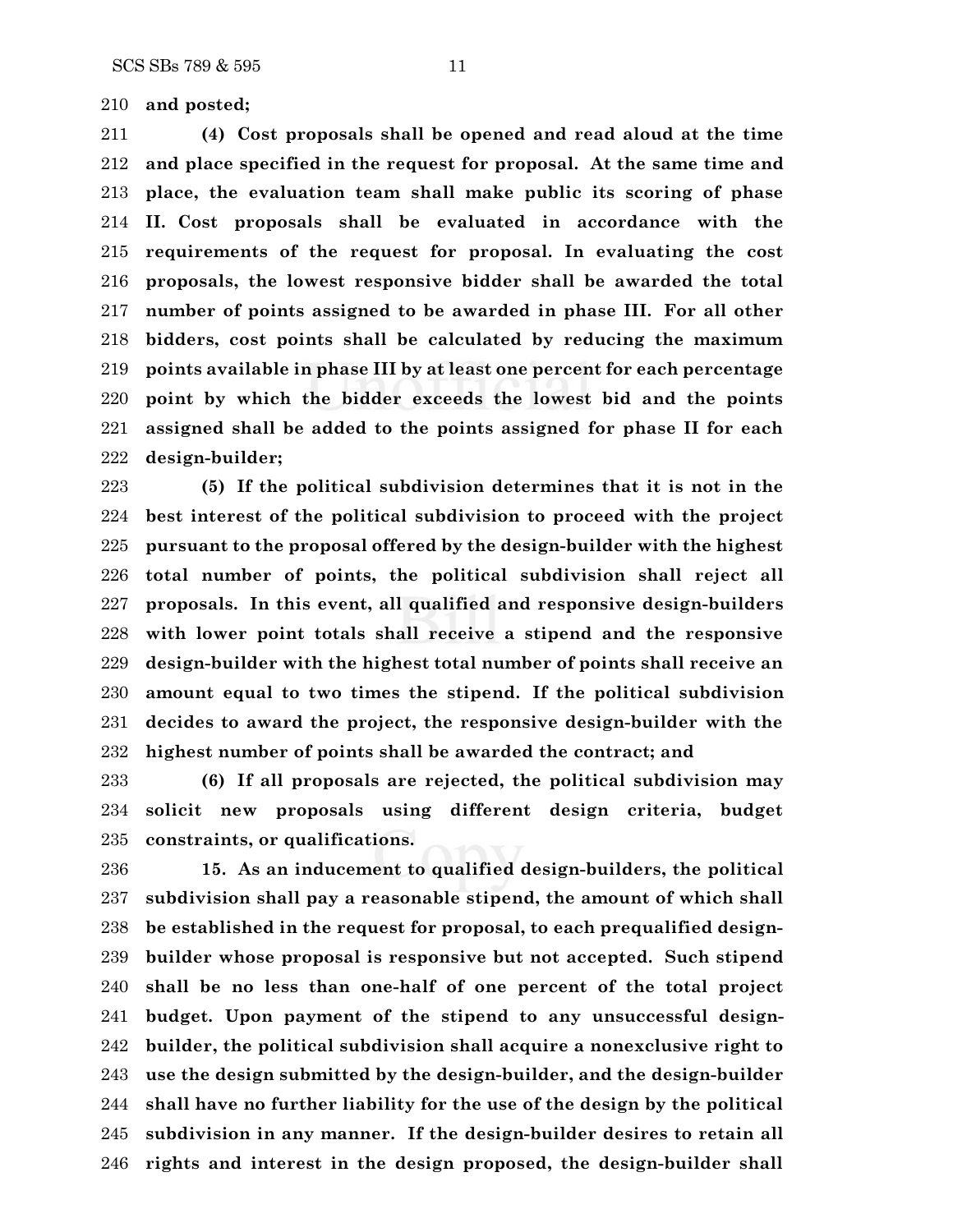**and posted;**

 **(4) Cost proposals shall be opened and read aloud at the time and place specified in the request for proposal. At the same time and place, the evaluation team shall make public its scoring of phase II. Cost proposals shall be evaluated in accordance with the requirements of the request for proposal. In evaluating the cost proposals, the lowest responsive bidder shall be awarded the total number of points assigned to be awarded in phase III. For all other bidders, cost points shall be calculated by reducing the maximum points available in phase III by at least one percent for each percentage point by which the bidder exceeds the lowest bid and the points assigned shall be added to the points assigned for phase II for each design-builder;**

 **(5) If the political subdivision determines that it is not in the best interest of the political subdivision to proceed with the project pursuant to the proposal offered by the design-builder with the highest total number of points, the political subdivision shall reject all proposals. In this event, all qualified and responsive design-builders with lower point totals shall receive a stipend and the responsive design-builder with the highest total number of points shall receive an amount equal to two times the stipend. If the political subdivision decides to award the project, the responsive design-builder with the highest number of points shall be awarded the contract; and**

 **(6) If all proposals are rejected, the political subdivision may solicit new proposals using different design criteria, budget constraints, or qualifications.**

 **15. As an inducement to qualified design-builders, the political subdivision shall pay a reasonable stipend, the amount of which shall be established in the request for proposal, to each prequalified design- builder whose proposal is responsive but not accepted. Such stipend shall be no less than one-half of one percent of the total project budget. Upon payment of the stipend to any unsuccessful design- builder, the political subdivision shall acquire a nonexclusive right to use the design submitted by the design-builder, and the design-builder shall have no further liability for the use of the design by the political subdivision in any manner. If the design-builder desires to retain all rights and interest in the design proposed, the design-builder shall**